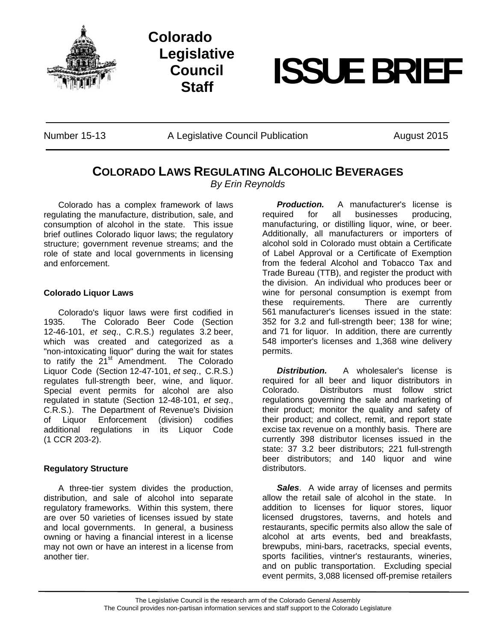



# **Staff ISSUE BRIEF**

Number 15-13 A Legislative Council Publication August 2015

## **COLORADO LAWS REGULATING ALCOHOLIC BEVERAGES**

*By Erin Reynolds* 

Colorado has a complex framework of laws regulating the manufacture, distribution, sale, and consumption of alcohol in the state. This issue brief outlines Colorado liquor laws; the regulatory structure; government revenue streams; and the role of state and local governments in licensing and enforcement.

### **Colorado Liquor Laws**

Colorado's liquor laws were first codified in 1935. The Colorado Beer Code (Section 12-46-101, *et seq*., C.R.S.) regulates 3.2 beer, which was created and categorized as a "non-intoxicating liquor" during the wait for states to ratify the  $21^{st}$  Amendment. The Colorado Liquor Code (Section 12-47-101, *et seq*., C.R.S.) regulates full-strength beer, wine, and liquor. Special event permits for alcohol are also regulated in statute (Section 12-48-101, *et seq*., C.R.S.). The Department of Revenue's Division of Liquor Enforcement (division) codifies additional regulations in its Liquor Code (1 CCR 203-2).

### **Regulatory Structure**

A three-tier system divides the production, distribution, and sale of alcohol into separate regulatory frameworks. Within this system, there are over 50 varieties of licenses issued by state and local governments. In general, a business owning or having a financial interest in a license may not own or have an interest in a license from another tier.

*Production.* A manufacturer's license is required for all businesses producing, manufacturing, or distilling liquor, wine, or beer. Additionally, all manufacturers or importers of alcohol sold in Colorado must obtain a Certificate of Label Approval or a Certificate of Exemption from the federal Alcohol and Tobacco Tax and Trade Bureau (TTB), and register the product with the division. An individual who produces beer or wine for personal consumption is exempt from these requirements. There are currently 561 manufacturer's licenses issued in the state: 352 for 3.2 and full-strength beer; 138 for wine; and 71 for liquor. In addition, there are currently 548 importer's licenses and 1,368 wine delivery permits.

*Distribution.* A wholesaler's license is required for all beer and liquor distributors in Colorado. Distributors must follow strict regulations governing the sale and marketing of their product; monitor the quality and safety of their product; and collect, remit, and report state excise tax revenue on a monthly basis. There are currently 398 distributor licenses issued in the state: 37 3.2 beer distributors; 221 full-strength beer distributors; and 140 liquor and wine distributors.

*Sales*. A wide array of licenses and permits allow the retail sale of alcohol in the state. In addition to licenses for liquor stores, liquor licensed drugstores, taverns, and hotels and restaurants, specific permits also allow the sale of alcohol at arts events, bed and breakfasts, brewpubs, mini-bars, racetracks, special events, sports facilities, vintner's restaurants, wineries, and on public transportation. Excluding special event permits, 3,088 licensed off-premise retailers